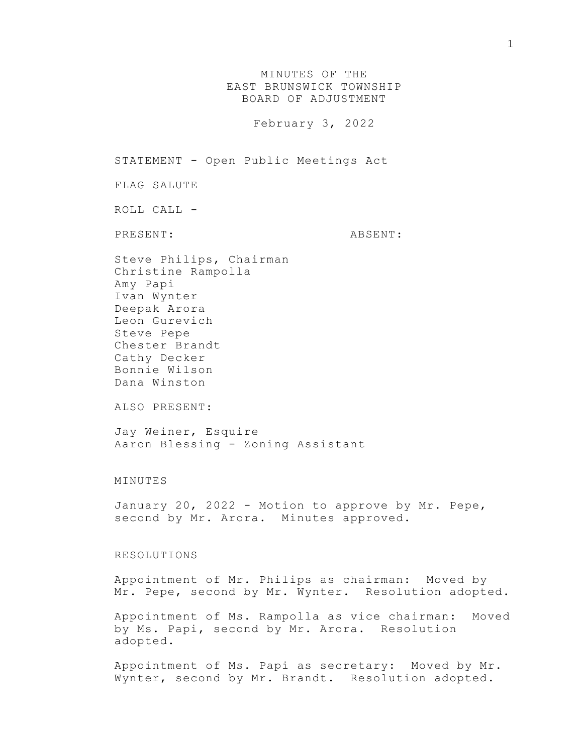MINUTES OF THE EAST BRUNSWICK TOWNSHIP BOARD OF ADJUSTMENT

February 3, 2022

STATEMENT - Open Public Meetings Act

FLAG SALUTE

ROLL CALL -

PRESENT: ABSENT:

Steve Philips, Chairman Christine Rampolla Amy Papi Ivan Wynter Deepak Arora Leon Gurevich Steve Pepe Chester Brandt Cathy Decker Bonnie Wilson Dana Winston

ALSO PRESENT:

Jay Weiner, Esquire Aaron Blessing - Zoning Assistant

## MINUTES

January 20, 2022 - Motion to approve by Mr. Pepe, second by Mr. Arora. Minutes approved.

## RESOLUTIONS

Appointment of Mr. Philips as chairman: Moved by Mr. Pepe, second by Mr. Wynter. Resolution adopted.

Appointment of Ms. Rampolla as vice chairman: Moved by Ms. Papi, second by Mr. Arora. Resolution adopted.

Appointment of Ms. Papi as secretary: Moved by Mr. Wynter, second by Mr. Brandt. Resolution adopted.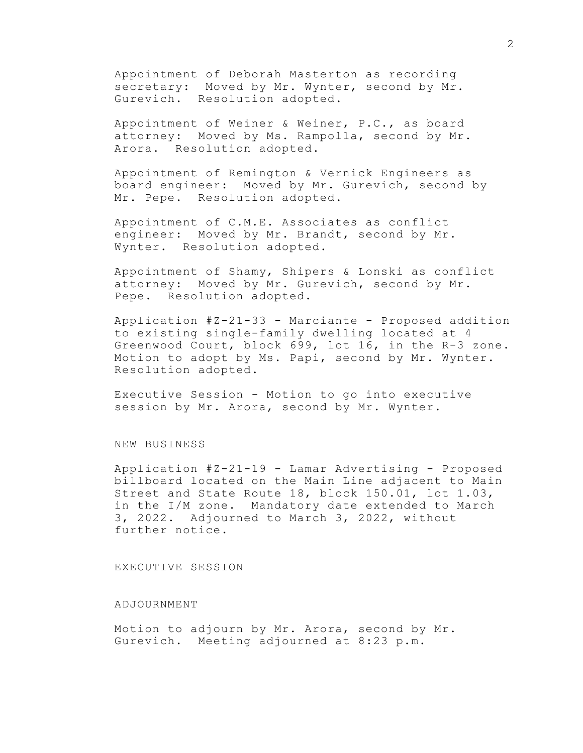Appointment of Deborah Masterton as recording secretary: Moved by Mr. Wynter, second by Mr. Gurevich. Resolution adopted.

Appointment of Weiner & Weiner, P.C., as board attorney: Moved by Ms. Rampolla, second by Mr. Arora. Resolution adopted.

Appointment of Remington & Vernick Engineers as board engineer: Moved by Mr. Gurevich, second by Mr. Pepe. Resolution adopted.

Appointment of C.M.E. Associates as conflict engineer: Moved by Mr. Brandt, second by Mr. Wynter. Resolution adopted.

Appointment of Shamy, Shipers & Lonski as conflict attorney: Moved by Mr. Gurevich, second by Mr. Pepe. Resolution adopted.

Application #Z-21-33 - Marciante - Proposed addition to existing single-family dwelling located at 4 Greenwood Court, block 699, lot 16, in the R-3 zone. Motion to adopt by Ms. Papi, second by Mr. Wynter. Resolution adopted.

Executive Session - Motion to go into executive session by Mr. Arora, second by Mr. Wynter.

NEW BUSINESS

Application #Z-21-19 - Lamar Advertising - Proposed billboard located on the Main Line adjacent to Main Street and State Route 18, block 150.01, lot 1.03, in the I/M zone. Mandatory date extended to March 3, 2022. Adjourned to March 3, 2022, without further notice.

## EXECUTIVE SESSION

## ADJOURNMENT

Motion to adjourn by Mr. Arora, second by Mr. Gurevich. Meeting adjourned at 8:23 p.m.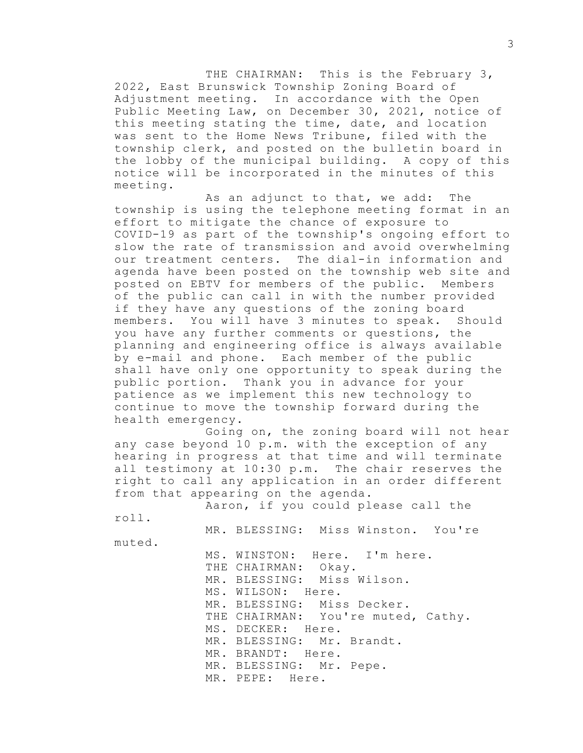THE CHAIRMAN: This is the February 3, 2022, East Brunswick Township Zoning Board of Adjustment meeting. In accordance with the Open Public Meeting Law, on December 30, 2021, notice of this meeting stating the time, date, and location was sent to the Home News Tribune, filed with the township clerk, and posted on the bulletin board in the lobby of the municipal building. A copy of this notice will be incorporated in the minutes of this meeting.

As an adjunct to that, we add: The township is using the telephone meeting format in an effort to mitigate the chance of exposure to COVID-19 as part of the township's ongoing effort to slow the rate of transmission and avoid overwhelming our treatment centers. The dial-in information and agenda have been posted on the township web site and posted on EBTV for members of the public. Members of the public can call in with the number provided if they have any questions of the zoning board members. You will have 3 minutes to speak. Should you have any further comments or questions, the planning and engineering office is always available by e-mail and phone. Each member of the public shall have only one opportunity to speak during the public portion. Thank you in advance for your patience as we implement this new technology to continue to move the township forward during the health emergency.

Going on, the zoning board will not hear any case beyond 10 p.m. with the exception of any hearing in progress at that time and will terminate all testimony at 10:30 p.m. The chair reserves the right to call any application in an order different from that appearing on the agenda.

Aaron, if you could please call the

roll.

MR. BLESSING: Miss Winston. You're

muted.

MS. WINSTON: Here. I'm here. THE CHAIRMAN: Okay. MR. BLESSING: Miss Wilson. MS. WILSON: Here. MR. BLESSING: Miss Decker. THE CHAIRMAN: You're muted, Cathy. MS. DECKER: Here. MR. BLESSING: Mr. Brandt. MR. BRANDT: Here. MR. BLESSING: Mr. Pepe. MR. PEPE: Here.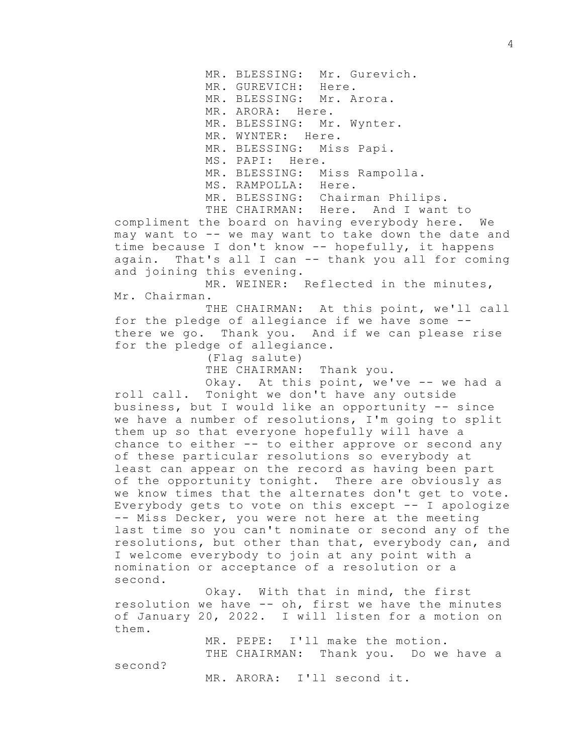MR. BLESSING: Mr. Gurevich.

MR. GUREVICH: Here.

MR. BLESSING: Mr. Arora.

MR. ARORA: Here.

MR. BLESSING: Mr. Wynter.

MR. WYNTER: Here.

MR. BLESSING: Miss Papi.

MS. PAPI: Here.

MR. BLESSING: Miss Rampolla.

MS. RAMPOLLA: Here.

MR. BLESSING: Chairman Philips.

THE CHAIRMAN: Here. And I want to

compliment the board on having everybody here. We may want to -- we may want to take down the date and time because I don't know -- hopefully, it happens again. That's all I can -- thank you all for coming and joining this evening.

MR. WEINER: Reflected in the minutes, Mr. Chairman.

THE CHAIRMAN: At this point, we'll call for the pledge of allegiance if we have some - there we go. Thank you. And if we can please rise for the pledge of allegiance.

(Flag salute)

THE CHAIRMAN: Thank you.

Okay. At this point, we've -- we had a roll call. Tonight we don't have any outside business, but I would like an opportunity -- since we have a number of resolutions, I'm going to split them up so that everyone hopefully will have a chance to either -- to either approve or second any of these particular resolutions so everybody at least can appear on the record as having been part of the opportunity tonight. There are obviously as we know times that the alternates don't get to vote. Everybody gets to vote on this except -- I apologize -- Miss Decker, you were not here at the meeting last time so you can't nominate or second any of the resolutions, but other than that, everybody can, and I welcome everybody to join at any point with a nomination or acceptance of a resolution or a second.

Okay. With that in mind, the first resolution we have -- oh, first we have the minutes of January 20, 2022. I will listen for a motion on them.

> MR. PEPE: I'll make the motion. THE CHAIRMAN: Thank you. Do we have a

second?

MR. ARORA: I'll second it.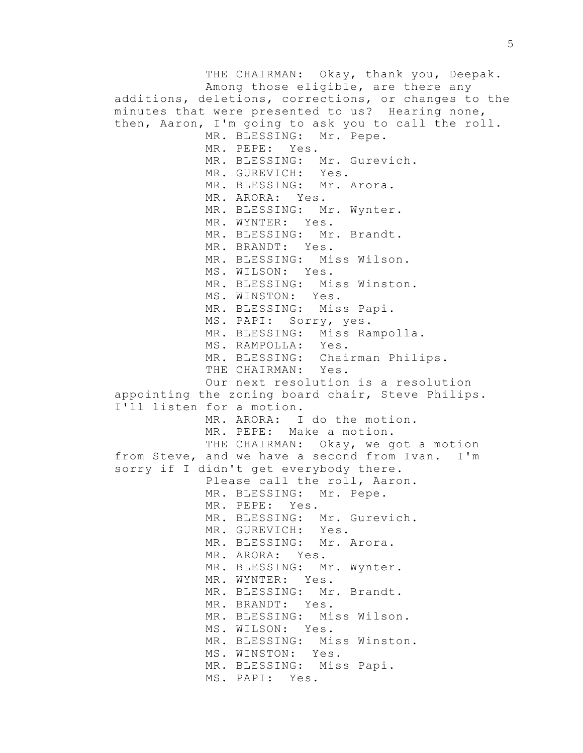THE CHAIRMAN: Okay, thank you, Deepak. Among those eligible, are there any additions, deletions, corrections, or changes to the minutes that were presented to us? Hearing none, then, Aaron, I'm going to ask you to call the roll. MR. BLESSING: Mr. Pepe. MR. PEPE: Yes. MR. BLESSING: Mr. Gurevich. MR. GUREVICH: Yes. MR. BLESSING: Mr. Arora. MR. ARORA: Yes. MR. BLESSING: Mr. Wynter. MR. WYNTER: Yes. MR. BLESSING: Mr. Brandt. MR. BRANDT: Yes. MR. BLESSING: Miss Wilson. MS. WILSON: Yes. MR. BLESSING: Miss Winston. MS. WINSTON: Yes. MR. BLESSING: Miss Papi. MS. PAPI: Sorry, yes. MR. BLESSING: Miss Rampolla. MS. RAMPOLLA: Yes. MR. BLESSING: Chairman Philips. THE CHAIRMAN: Yes. Our next resolution is a resolution appointing the zoning board chair, Steve Philips. I'll listen for a motion. MR. ARORA: I do the motion. MR. PEPE: Make a motion. THE CHAIRMAN: Okay, we got a motion from Steve, and we have a second from Ivan. I'm sorry if I didn't get everybody there. Please call the roll, Aaron. MR. BLESSING: Mr. Pepe. MR. PEPE: Yes. MR. BLESSING: Mr. Gurevich. MR. GUREVICH: Yes. MR. BLESSING: Mr. Arora. MR. ARORA: Yes. MR. BLESSING: Mr. Wynter. MR. WYNTER: Yes. MR. BLESSING: Mr. Brandt. MR. BRANDT: Yes. MR. BLESSING: Miss Wilson. MS. WILSON: Yes. MR. BLESSING: Miss Winston. MS. WINSTON: Yes. MR. BLESSING: Miss Papi. MS. PAPI: Yes.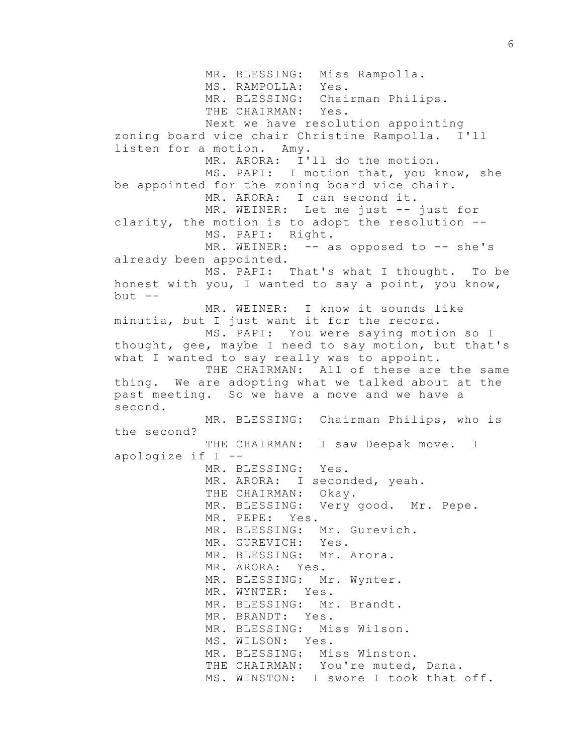MR. BLESSING: Miss Rampolla. MS. RAMPOLLA: Yes. MR. BLESSING: Chairman Philips. THE CHAIRMAN: Yes. Next we have resolution appointing zoning board vice chair Christine Rampolla. I'll listen for a motion. Amy. MR. ARORA: I'll do the motion. MS. PAPI: I motion that, you know, she be appointed for the zoning board vice chair. MR. ARORA: I can second it. MR. WEINER: Let me just -- just for clarity, the motion is to adopt the resolution -- MS. PAPI: Right. MR. WEINER:  $-$  as opposed to  $-$  she's already been appointed. MS. PAPI: That's what I thought. To be honest with you, I wanted to say a point, you know,  $but$   $--$ MR. WEINER: I know it sounds like minutia, but I just want it for the record. MS. PAPI: You were saying motion so I thought, gee, maybe I need to say motion, but that's what I wanted to say really was to appoint. THE CHAIRMAN: All of these are the same thing. We are adopting what we talked about at the past meeting. So we have a move and we have a second. MR. BLESSING: Chairman Philips, who is the second? THE CHAIRMAN: I saw Deepak move. I apologize if I -- MR. BLESSING: Yes. MR. ARORA: I seconded, yeah. THE CHAIRMAN: Okay. MR. BLESSING: Very good. Mr. Pepe. MR. PEPE: Yes. MR. BLESSING: Mr. Gurevich. MR. GUREVICH: Yes. MR. BLESSING: Mr. Arora. MR. ARORA: Yes. MR. BLESSING: Mr. Wynter. MR. WYNTER: Yes. MR. BLESSING: Mr. Brandt. MR. BRANDT: Yes. MR. BLESSING: Miss Wilson. MS. WILSON: Yes. MR. BLESSING: Miss Winston. THE CHAIRMAN: You're muted, Dana. MS. WINSTON: I swore I took that off.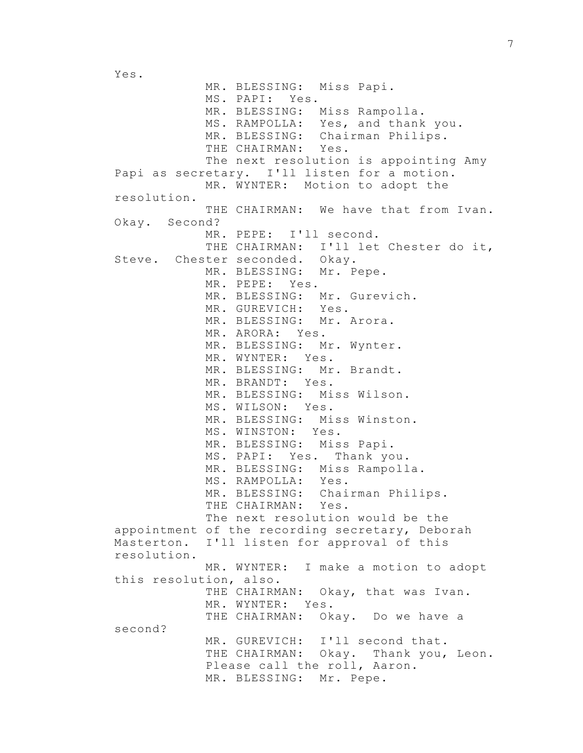Yes.

MR. BLESSING: Miss Papi. MS. PAPI: Yes. MR. BLESSING: Miss Rampolla. MS. RAMPOLLA: Yes, and thank you. MR. BLESSING: Chairman Philips. THE CHAIRMAN: Yes. The next resolution is appointing Amy Papi as secretary. I'll listen for a motion. MR. WYNTER: Motion to adopt the resolution. THE CHAIRMAN: We have that from Ivan. Okay. Second? MR. PEPE: I'll second. THE CHAIRMAN: I'll let Chester do it, Steve. Chester seconded. Okay. MR. BLESSING: Mr. Pepe. MR. PEPE: Yes. MR. BLESSING: Mr. Gurevich. MR. GUREVICH: Yes. MR. BLESSING: Mr. Arora. MR. ARORA: Yes. MR. BLESSING: Mr. Wynter. MR. WYNTER: Yes. MR. BLESSING: Mr. Brandt. MR. BRANDT: Yes. MR. BLESSING: Miss Wilson. MS. WILSON: Yes. MR. BLESSING: Miss Winston. MS. WINSTON: Yes. MR. BLESSING: Miss Papi. MS. PAPI: Yes. Thank you. MR. BLESSING: Miss Rampolla. MS. RAMPOLLA: Yes. MR. BLESSING: Chairman Philips. THE CHAIRMAN: Yes. The next resolution would be the appointment of the recording secretary, Deborah Masterton. I'll listen for approval of this resolution. MR. WYNTER: I make a motion to adopt this resolution, also. THE CHAIRMAN: Okay, that was Ivan. MR. WYNTER: Yes. THE CHAIRMAN: Okay. Do we have a second? MR. GUREVICH: I'll second that. THE CHAIRMAN: Okay. Thank you, Leon. Please call the roll, Aaron. MR. BLESSING: Mr. Pepe.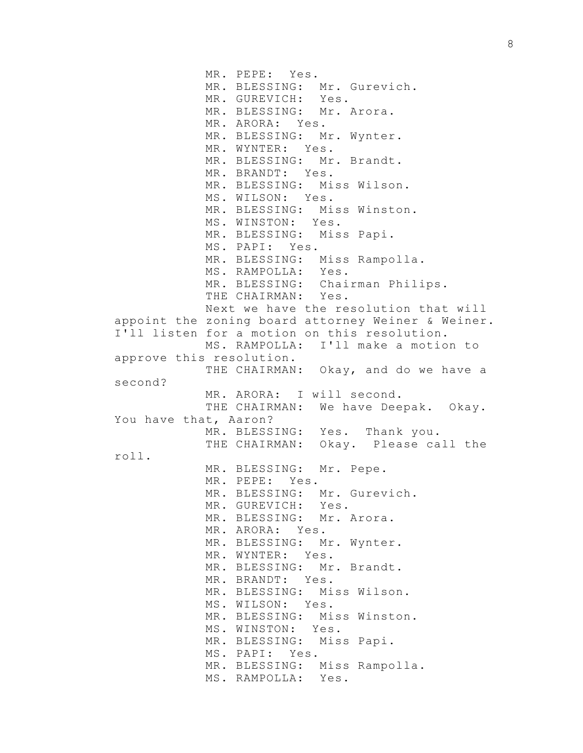MR. PEPE: Yes. MR. BLESSING: Mr. Gurevich. MR. GUREVICH: Yes. MR. BLESSING: Mr. Arora. MR. ARORA: Yes. MR. BLESSING: Mr. Wynter. MR. WYNTER: Yes. MR. BLESSING: Mr. Brandt. MR. BRANDT: Yes. MR. BLESSING: Miss Wilson. MS. WILSON: Yes. MR. BLESSING: Miss Winston. MS. WINSTON: Yes. MR. BLESSING: Miss Papi. MS. PAPI: Yes. MR. BLESSING: Miss Rampolla. MS. RAMPOLLA: Yes. MR. BLESSING: Chairman Philips. THE CHAIRMAN: Yes. Next we have the resolution that will appoint the zoning board attorney Weiner & Weiner. I'll listen for a motion on this resolution. MS. RAMPOLLA: I'll make a motion to approve this resolution. THE CHAIRMAN: Okay, and do we have a second? MR. ARORA: I will second. THE CHAIRMAN: We have Deepak. Okay. You have that, Aaron? MR. BLESSING: Yes. Thank you. THE CHAIRMAN: Okay. Please call the roll. MR. BLESSING: Mr. Pepe. MR. PEPE: Yes. MR. BLESSING: Mr. Gurevich. MR. GUREVICH: Yes. MR. BLESSING: Mr. Arora. MR. ARORA: Yes. MR. BLESSING: Mr. Wynter. MR. WYNTER: Yes. MR. BLESSING: Mr. Brandt. MR. BRANDT: Yes. MR. BLESSING: Miss Wilson. MS. WILSON: Yes. MR. BLESSING: Miss Winston. MS. WINSTON: Yes. MR. BLESSING: Miss Papi. MS. PAPI: Yes. MR. BLESSING: Miss Rampolla. MS. RAMPOLLA: Yes.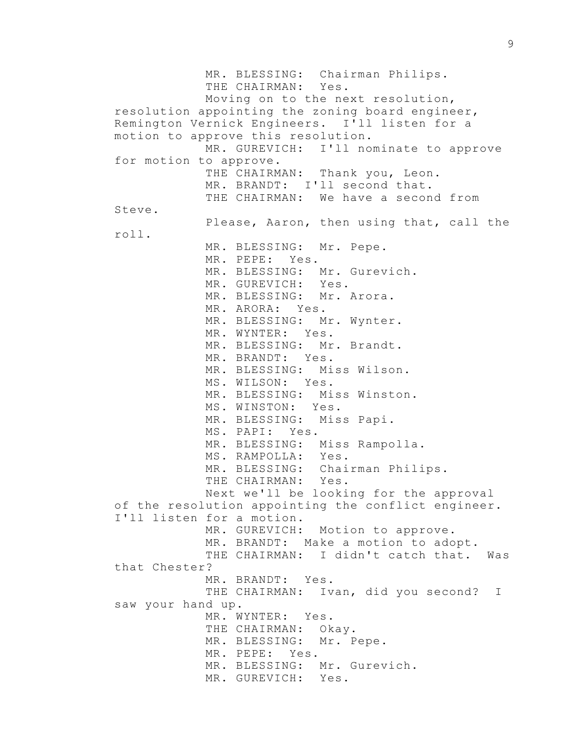MR. BLESSING: Chairman Philips. THE CHAIRMAN: Yes. Moving on to the next resolution, resolution appointing the zoning board engineer, Remington Vernick Engineers. I'll listen for a motion to approve this resolution. MR. GUREVICH: I'll nominate to approve for motion to approve. THE CHAIRMAN: Thank you, Leon. MR. BRANDT: I'll second that. THE CHAIRMAN: We have a second from Steve. Please, Aaron, then using that, call the roll. MR. BLESSING: Mr. Pepe. MR. PEPE: Yes. MR. BLESSING: Mr. Gurevich. MR. GUREVICH: Yes. MR. BLESSING: Mr. Arora. MR. ARORA: Yes. MR. BLESSING: Mr. Wynter. MR. WYNTER: Yes. MR. BLESSING: Mr. Brandt. MR. BRANDT: Yes. MR. BLESSING: Miss Wilson. MS. WILSON: Yes. MR. BLESSING: Miss Winston. MS. WINSTON: Yes. MR. BLESSING: Miss Papi. MS. PAPI: Yes. MR. BLESSING: Miss Rampolla. MS. RAMPOLLA: Yes. MR. BLESSING: Chairman Philips. THE CHAIRMAN: Yes. Next we'll be looking for the approval of the resolution appointing the conflict engineer. I'll listen for a motion. MR. GUREVICH: Motion to approve. MR. BRANDT: Make a motion to adopt. THE CHAIRMAN: I didn't catch that. Was that Chester? MR. BRANDT: Yes. THE CHAIRMAN: Ivan, did you second? I saw your hand up. MR. WYNTER: Yes. THE CHAIRMAN: Okay. MR. BLESSING: Mr. Pepe. MR. PEPE: Yes. MR. BLESSING: Mr. Gurevich. MR. GUREVICH: Yes.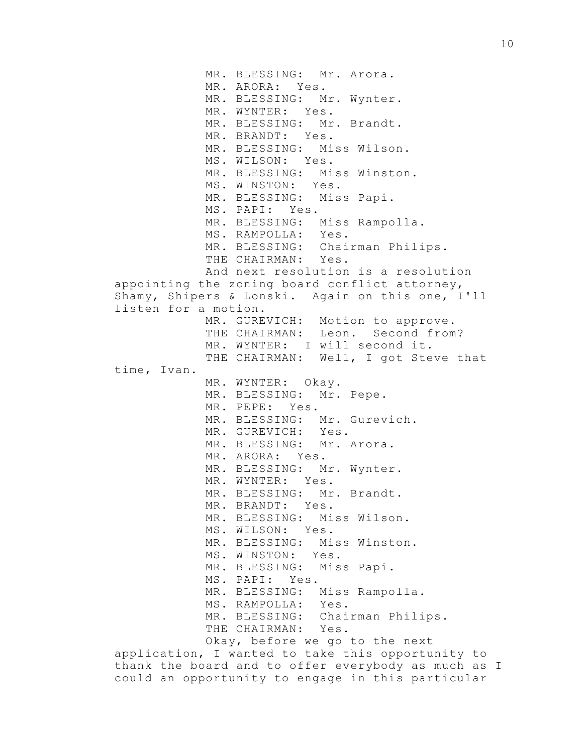MR. BLESSING: Mr. Arora. MR. ARORA: Yes. MR. BLESSING: Mr. Wynter. MR. WYNTER: Yes. MR. BLESSING: Mr. Brandt. MR. BRANDT: Yes. MR. BLESSING: Miss Wilson. MS. WILSON: Yes. MR. BLESSING: Miss Winston. MS. WINSTON: Yes. MR. BLESSING: Miss Papi. MS. PAPI: Yes. MR. BLESSING: Miss Rampolla. MS. RAMPOLLA: Yes. MR. BLESSING: Chairman Philips. THE CHAIRMAN: Yes. And next resolution is a resolution appointing the zoning board conflict attorney, Shamy, Shipers & Lonski. Again on this one, I'll listen for a motion. MR. GUREVICH: Motion to approve. THE CHAIRMAN: Leon. Second from? MR. WYNTER: I will second it. THE CHAIRMAN: Well, I got Steve that time, Ivan. MR. WYNTER: Okay. MR. BLESSING: Mr. Pepe. MR. PEPE: Yes. MR. BLESSING: Mr. Gurevich. MR. GUREVICH: Yes. MR. BLESSING: Mr. Arora. MR. ARORA: Yes. MR. BLESSING: Mr. Wynter. MR. WYNTER: Yes. MR. BLESSING: Mr. Brandt. MR. BRANDT: Yes. MR. BLESSING: Miss Wilson. MS. WILSON: Yes. MR. BLESSING: Miss Winston. MS. WINSTON: Yes. MR. BLESSING: Miss Papi. MS. PAPI: Yes. MR. BLESSING: Miss Rampolla. MS. RAMPOLLA: Yes. MR. BLESSING: Chairman Philips. THE CHAIRMAN: Yes. Okay, before we go to the next application, I wanted to take this opportunity to

thank the board and to offer everybody as much as I could an opportunity to engage in this particular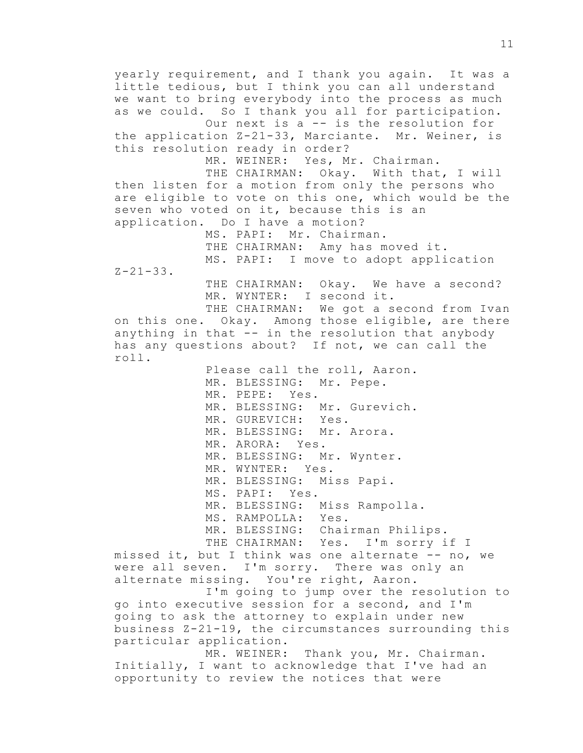yearly requirement, and I thank you again. It was a little tedious, but I think you can all understand we want to bring everybody into the process as much as we could. So I thank you all for participation. Our next is a -- is the resolution for the application Z-21-33, Marciante. Mr. Weiner, is this resolution ready in order? MR. WEINER: Yes, Mr. Chairman. THE CHAIRMAN: Okay. With that, I will then listen for a motion from only the persons who are eligible to vote on this one, which would be the seven who voted on it, because this is an application. Do I have a motion? MS. PAPI: Mr. Chairman. THE CHAIRMAN: Amy has moved it. MS. PAPI: I move to adopt application  $Z - 21 - 33$ . THE CHAIRMAN: Okay. We have a second? MR. WYNTER: I second it. THE CHAIRMAN: We got a second from Ivan on this one. Okay. Among those eligible, are there anything in that -- in the resolution that anybody has any questions about? If not, we can call the roll. Please call the roll, Aaron. MR. BLESSING: Mr. Pepe. MR. PEPE: Yes. MR. BLESSING: Mr. Gurevich. MR. GUREVICH: Yes. MR. BLESSING: Mr. Arora. MR. ARORA: Yes. MR. BLESSING: Mr. Wynter. MR. WYNTER: Yes. MR. BLESSING: Miss Papi. MS. PAPI: Yes. MR. BLESSING: Miss Rampolla. MS. RAMPOLLA: Yes. MR. BLESSING: Chairman Philips. THE CHAIRMAN: Yes. I'm sorry if I missed it, but I think was one alternate -- no, we were all seven. I'm sorry. There was only an alternate missing. You're right, Aaron. I'm going to jump over the resolution to go into executive session for a second, and I'm going to ask the attorney to explain under new business Z-21-19, the circumstances surrounding this particular application. MR. WEINER: Thank you, Mr. Chairman. Initially, I want to acknowledge that I've had an opportunity to review the notices that were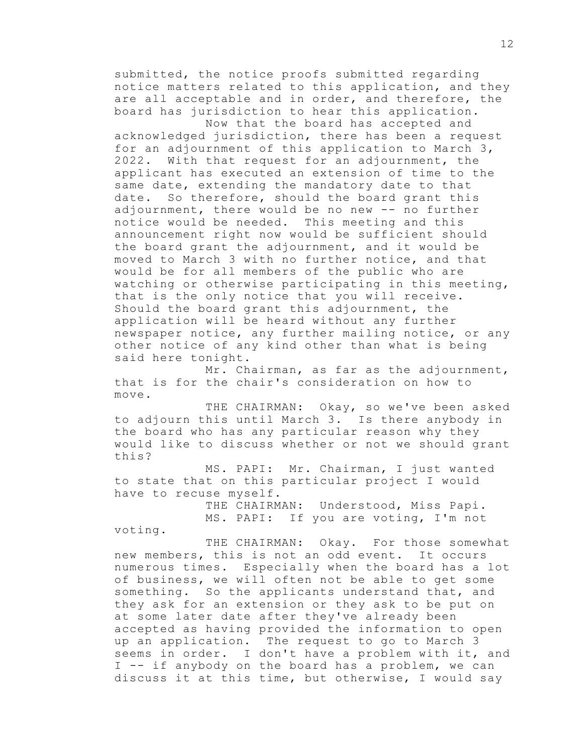submitted, the notice proofs submitted regarding notice matters related to this application, and they are all acceptable and in order, and therefore, the board has jurisdiction to hear this application. Now that the board has accepted and

acknowledged jurisdiction, there has been a request for an adjournment of this application to March 3, 2022. With that request for an adjournment, the applicant has executed an extension of time to the same date, extending the mandatory date to that date. So therefore, should the board grant this adjournment, there would be no new -- no further notice would be needed. This meeting and this announcement right now would be sufficient should the board grant the adjournment, and it would be moved to March 3 with no further notice, and that would be for all members of the public who are watching or otherwise participating in this meeting, that is the only notice that you will receive. Should the board grant this adjournment, the application will be heard without any further newspaper notice, any further mailing notice, or any other notice of any kind other than what is being said here tonight.

Mr. Chairman, as far as the adjournment, that is for the chair's consideration on how to move.

THE CHAIRMAN: Okay, so we've been asked to adjourn this until March 3. Is there anybody in the board who has any particular reason why they would like to discuss whether or not we should grant this?

MS. PAPI: Mr. Chairman, I just wanted to state that on this particular project I would have to recuse myself.

> THE CHAIRMAN: Understood, Miss Papi. MS. PAPI: If you are voting, I'm not

voting.

THE CHAIRMAN: Okay. For those somewhat new members, this is not an odd event. It occurs numerous times. Especially when the board has a lot of business, we will often not be able to get some something. So the applicants understand that, and they ask for an extension or they ask to be put on at some later date after they've already been accepted as having provided the information to open up an application. The request to go to March 3 seems in order. I don't have a problem with it, and I -- if anybody on the board has a problem, we can discuss it at this time, but otherwise, I would say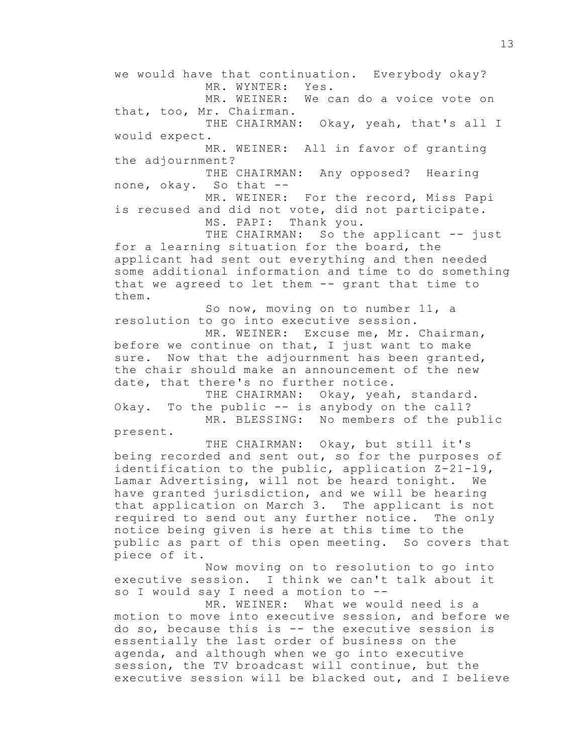we would have that continuation. Everybody okay? MR. WYNTER: Yes. MR. WEINER: We can do a voice vote on that, too, Mr. Chairman. THE CHAIRMAN: Okay, yeah, that's all I would expect. MR. WEINER: All in favor of granting the adjournment? THE CHAIRMAN: Any opposed? Hearing none, okay. So that -- MR. WEINER: For the record, Miss Papi is recused and did not vote, did not participate. MS. PAPI: Thank you. THE CHAIRMAN: So the applicant -- just for a learning situation for the board, the applicant had sent out everything and then needed some additional information and time to do something that we agreed to let them -- grant that time to them. So now, moving on to number 11, a resolution to go into executive session. MR. WEINER: Excuse me, Mr. Chairman, before we continue on that, I just want to make sure. Now that the adjournment has been granted, the chair should make an announcement of the new date, that there's no further notice.

THE CHAIRMAN: Okay, yeah, standard. Okay. To the public -- is anybody on the call? MR. BLESSING: No members of the public

present.

THE CHAIRMAN: Okay, but still it's being recorded and sent out, so for the purposes of identification to the public, application  $Z-21-19$ , Lamar Advertising, will not be heard tonight. We have granted jurisdiction, and we will be hearing that application on March 3. The applicant is not required to send out any further notice. The only notice being given is here at this time to the public as part of this open meeting. So covers that piece of it.

Now moving on to resolution to go into executive session. I think we can't talk about it so I would say I need a motion to --

MR. WEINER: What we would need is a motion to move into executive session, and before we do so, because this is -- the executive session is essentially the last order of business on the agenda, and although when we go into executive session, the TV broadcast will continue, but the executive session will be blacked out, and I believe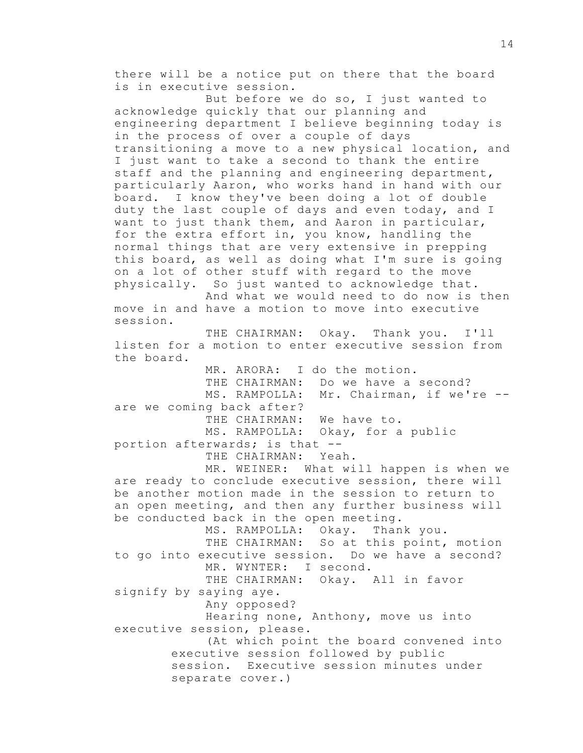there will be a notice put on there that the board is in executive session. But before we do so, I just wanted to acknowledge quickly that our planning and engineering department I believe beginning today is in the process of over a couple of days transitioning a move to a new physical location, and I just want to take a second to thank the entire staff and the planning and engineering department, particularly Aaron, who works hand in hand with our board. I know they've been doing a lot of double duty the last couple of days and even today, and I want to just thank them, and Aaron in particular, for the extra effort in, you know, handling the normal things that are very extensive in prepping this board, as well as doing what I'm sure is going on a lot of other stuff with regard to the move physically. So just wanted to acknowledge that. And what we would need to do now is then move in and have a motion to move into executive session. THE CHAIRMAN: Okay. Thank you. I'll listen for a motion to enter executive session from the board. MR. ARORA: I do the motion. THE CHAIRMAN: Do we have a second? MS. RAMPOLLA: Mr. Chairman, if we're -are we coming back after? THE CHAIRMAN: We have to. MS. RAMPOLLA: Okay, for a public portion afterwards; is that -- THE CHAIRMAN: Yeah. MR. WEINER: What will happen is when we are ready to conclude executive session, there will be another motion made in the session to return to an open meeting, and then any further business will be conducted back in the open meeting. MS. RAMPOLLA: Okay. Thank you. THE CHAIRMAN: So at this point, motion to go into executive session. Do we have a second? MR. WYNTER: I second. THE CHAIRMAN: Okay. All in favor signify by saying aye. Any opposed? Hearing none, Anthony, move us into executive session, please. (At which point the board convened into executive session followed by public session. Executive session minutes under separate cover.)